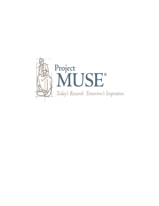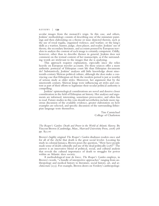## REVIEWS | **139**

secular images from the monarch's reign. In this case, and others, Jenkins' methodology consists of describing one of the miniature paint- ings and then elaborating on <sup>a</sup> theme or issue depicted therein, such as the use of royal regalia, organized violence, and warfare; or the king's skills as a warrior, hunter, judge, chess player, and reader. Jenkins' use of theory, the secondary literature, and accounts penned by European trav- elers to analyze the content of each image is certainly competent. Oddly, however, other than to describe themes in general, Jenkins does not comment on the textual content of her manuscripts, as if the surround- ing words are irrelevant to the images that she is analyzing.

This approach requires explanation, especially since she relies heavily on European traveler accounts. Do these sources offer a more authentic portrayal of Ethiopian court life than Ethiopian documents do? Substantively, Jenkins' analyses add little knowledge about nineteenth-century Shäwan political culture, although she does make a con-<br>vincing case that Ethiopian art from the modern period is just as worthy of serious study as older styles. Moreover, her argument that by the nineteenth century, Shäwan kings were influencing art styles and content as part of their efforts to legitimize their secular political authority is compelling.

Jenkins' epistemological considerations are novel and deserve closer consideration in the field of Ethiopian art history. Her analyses and arguments are informed, interesting, sometimes provocative, and often fun to read. Future studies in this vein should nevertheless include more rigorous discussion of the available evidence, greater elaboration on how examples are selected, and specific discussion of the surrounding Ethiopian language texts themselves.

> Tim Carmichael College of Charleston

*The Reaper's Garden: Death and Power in the World of Atlantic Slavery.* By Vincent Brown (Cambridge, Mass., Harvard University Press, 2008) 368 pp. \$35.00

Brown's highly original *The Reaper's Garden* disabuses readers once and for all of the cliché that death is the great social leveler. Locating his study in colonial Jamaica, Brown poses the question, "How have people made sense of death culturally and use of the dead politically  $(258)$ ? The answer is an innovative blend of political, social, and cultural analysis that reveals the cultural importance of death to struggles for power within an Atlantic slave society. <sup>A</sup> methodological tour de force, *The Reaper's Garden* employs, in

Brown's words, "a bundle of interpretive approaches" ranging from anthropology and medical history to literature, social history, art, and architecture (255). For example, Brown draws on Verdery's anthropologi-